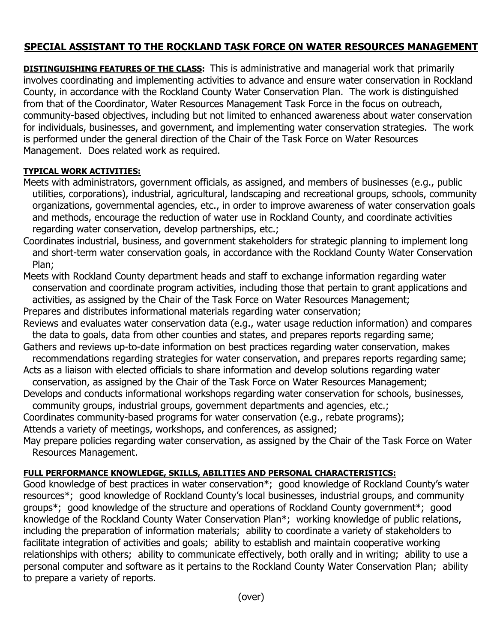## **SPECIAL ASSISTANT TO THE ROCKLAND TASK FORCE ON WATER RESOURCES MANAGEMENT**

**DISTINGUISHING FEATURES OF THE CLASS:** This is administrative and managerial work that primarily involves coordinating and implementing activities to advance and ensure water conservation in Rockland County, in accordance with the Rockland County Water Conservation Plan. The work is distinguished from that of the Coordinator, Water Resources Management Task Force in the focus on outreach, community-based objectives, including but not limited to enhanced awareness about water conservation for individuals, businesses, and government, and implementing water conservation strategies. The work is performed under the general direction of the Chair of the Task Force on Water Resources Management. Does related work as required.

## **TYPICAL WORK ACTIVITIES:**

- Meets with administrators, government officials, as assigned, and members of businesses (e.g., public utilities, corporations), industrial, agricultural, landscaping and recreational groups, schools, community organizations, governmental agencies, etc., in order to improve awareness of water conservation goals and methods, encourage the reduction of water use in Rockland County, and coordinate activities regarding water conservation, develop partnerships, etc.;
- Coordinates industrial, business, and government stakeholders for strategic planning to implement long and short-term water conservation goals, in accordance with the Rockland County Water Conservation Plan;
- Meets with Rockland County department heads and staff to exchange information regarding water conservation and coordinate program activities, including those that pertain to grant applications and activities, as assigned by the Chair of the Task Force on Water Resources Management; Prepares and distributes informational materials regarding water conservation;
- Reviews and evaluates water conservation data (e.g., water usage reduction information) and compares the data to goals, data from other counties and states, and prepares reports regarding same;
- Gathers and reviews up-to-date information on best practices regarding water conservation, makes recommendations regarding strategies for water conservation, and prepares reports regarding same;
- Acts as a liaison with elected officials to share information and develop solutions regarding water
- conservation, as assigned by the Chair of the Task Force on Water Resources Management; Develops and conducts informational workshops regarding water conservation for schools, businesses,
- community groups, industrial groups, government departments and agencies, etc.;
- Coordinates community-based programs for water conservation (e.g., rebate programs); Attends a variety of meetings, workshops, and conferences, as assigned;
- May prepare policies regarding water conservation, as assigned by the Chair of the Task Force on Water Resources Management.

## **FULL PERFORMANCE KNOWLEDGE, SKILLS, ABILITIES AND PERSONAL CHARACTERISTICS:**

Good knowledge of best practices in water conservation\*; good knowledge of Rockland County's water resources\*; good knowledge of Rockland County's local businesses, industrial groups, and community groups\*; good knowledge of the structure and operations of Rockland County government\*; good knowledge of the Rockland County Water Conservation Plan\*; working knowledge of public relations, including the preparation of information materials; ability to coordinate a variety of stakeholders to facilitate integration of activities and goals; ability to establish and maintain cooperative working relationships with others; ability to communicate effectively, both orally and in writing; ability to use a personal computer and software as it pertains to the Rockland County Water Conservation Plan; ability to prepare a variety of reports.